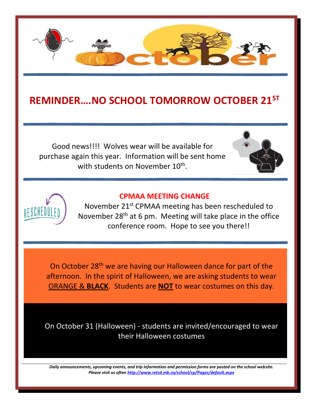

## **REMINDER….NO SCHOOL TOMORROW OCTOBER 21ST**

Good news!!!! Wolves wear will be available for purchase again this year. Information will be sent home with students on November 10<sup>th</sup>.





## **CPMAA MEETING CHANGE**

November 21st CPMAA meeting has been rescheduled to November  $28<sup>th</sup>$  at 6 pm. Meeting will take place in the office conference room. Hope to see you there!!

On October 28th we are having our Halloween dance for part of the afternoon. In the spirit of Halloween, we are asking students to wear ORANGE & **BLACK**. Students are **NOT** to wear costumes on this day.

On October 31 (Halloween) - students are invited/encouraged to wear their Halloween costumes

*Daily announcements, upcoming events, and trip information and permission forms are posted on the school website. Please visit us ofte[n http://www.retsd.mb.ca/school/cp/Pages/default.aspx](http://www.retsd.mb.ca/school/cp/Pages/default.aspx)*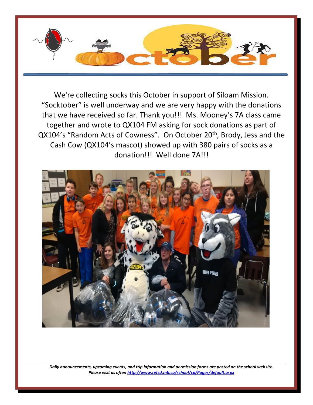

We're collecting socks this October in support of Siloam Mission. "Socktober" is well underway and we are very happy with the donations that we have received so far. Thank you!!! Ms. Mooney's 7A class came together and wrote to QX104 FM asking for sock donations as part of QX104's "Random Acts of Cowness". On October 20<sup>th</sup>, Brody, Jess and the Cash Cow (QX104's mascot) showed up with 380 pairs of socks as a donation!!! Well done 7A!!!



*Daily announcements, upcoming events, and trip information and permission forms are posted on the school website. Please visit us ofte[n http://www.retsd.mb.ca/school/cp/Pages/default.aspx](http://www.retsd.mb.ca/school/cp/Pages/default.aspx)*